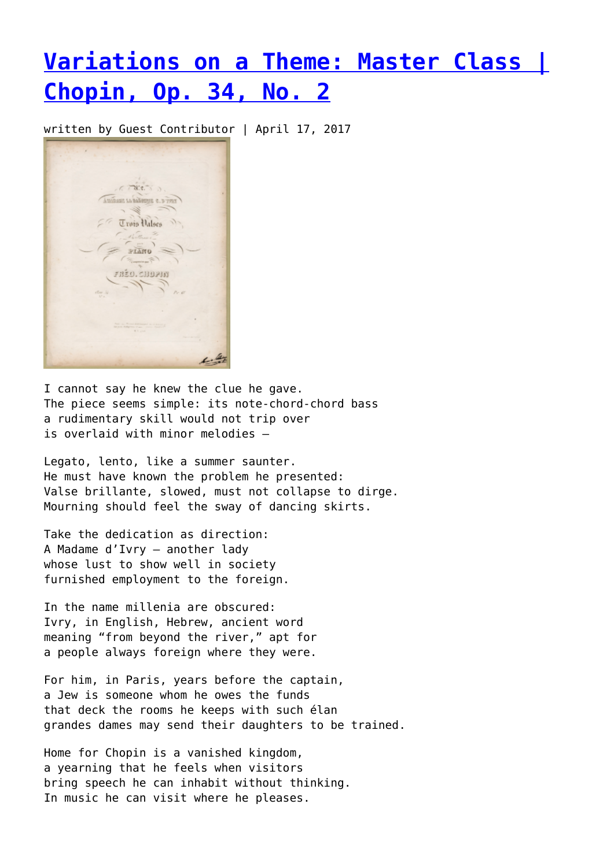## **[Variations on a Theme: Master Class |](https://entropymag.org/variations-on-a-theme-master-class-chopin-op-34-no-2/) [Chopin, Op. 34, No. 2](https://entropymag.org/variations-on-a-theme-master-class-chopin-op-34-no-2/)**

written by Guest Contributor | April 17, 2017



I cannot say he knew the clue he gave. The piece seems simple: its note-chord-chord bass a rudimentary skill would not trip over is overlaid with minor melodies –

Legato, lento, like a summer saunter. He must have known the problem he presented: Valse brillante, slowed, must not collapse to dirge. Mourning should feel the sway of dancing skirts.

Take the dedication as direction: A Madame d'Ivry — another lady whose lust to show well in society furnished employment to the foreign.

In the name millenia are obscured: Ivry, in English, Hebrew, ancient word meaning "from beyond the river," apt for a people always foreign where they were.

For him, in Paris, years before the captain, a Jew is someone whom he owes the funds that deck the rooms he keeps with such élan grandes dames may send their daughters to be trained.

Home for Chopin is a vanished kingdom, a yearning that he feels when visitors bring speech he can inhabit without thinking. In music he can visit where he pleases.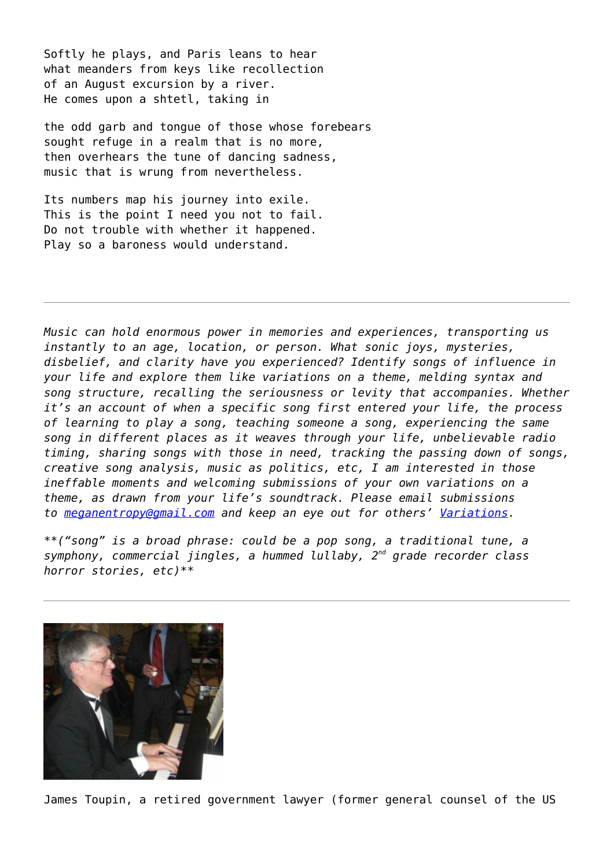Softly he plays, and Paris leans to hear what meanders from keys like recollection of an August excursion by a river. He comes upon a shtetl, taking in

the odd garb and tongue of those whose forebears sought refuge in a realm that is no more, then overhears the tune of dancing sadness, music that is wrung from nevertheless.

Its numbers map his journey into exile. This is the point I need you not to fail. Do not trouble with whether it happened. Play so a baroness would understand.

*Music can hold enormous power in memories and experiences, transporting us instantly to an age, location, or person. What sonic joys, mysteries, disbelief, and clarity have you experienced? Identify songs of influence in your life and explore them like variations on a theme, melding syntax and song structure, recalling the seriousness or levity that accompanies. Whether it's an account of when a specific song first entered your life, the process of learning to play a song, teaching someone a song, experiencing the same song in different places as it weaves through your life, unbelievable radio timing, sharing songs with those in need, tracking the passing down of songs, creative song analysis, music as politics, etc, I am interested in those ineffable moments and welcoming submissions of your own variations on a theme, as drawn from your life's soundtrack. Please email submissions to [meganentropy@gmail.com](mailto:meganentropy@gmail.com) and keep an eye out for others' [Variations.](https://entropymag.org/tag/variations-on-a-theme/)*

*\*\*("song" is a broad phrase: could be a pop song, a traditional tune, a symphony, commercial jingles, a hummed lullaby, 2nd grade recorder class horror stories, etc)\*\**



James Toupin, a retired government lawyer (former general counsel of the US